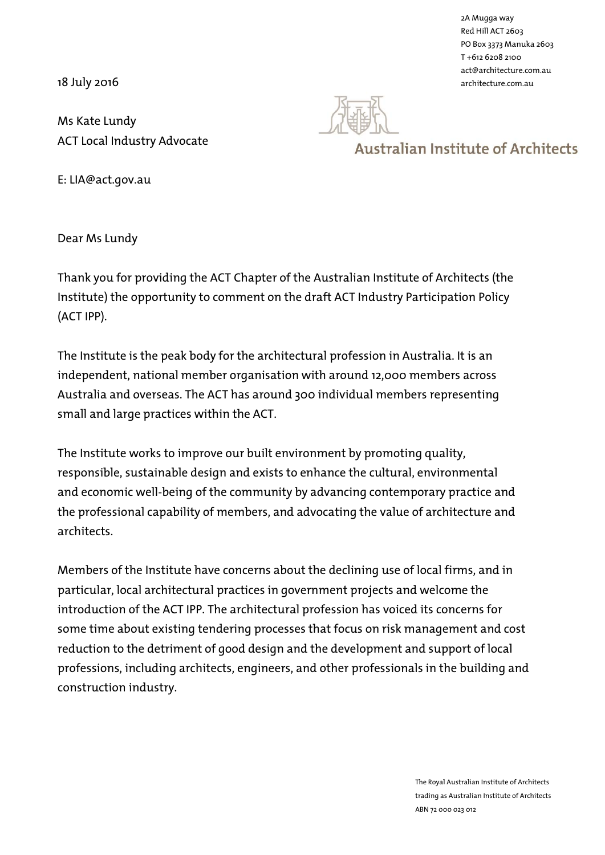18 July 2016

2A Mugga way Red Hill ACT 2603 PO Box 3373 Manuka 2603 T +612 6208 2100 act@architecture.com.au architecture.com.au

Ms Kate Lundy ACT Local Industry Advocate



## **Australian Institute of Architects**

E: LIA@act.gov.au

Dear Ms Lundy

Thank you for providing the ACT Chapter of the Australian Institute of Architects (the Institute) the opportunity to comment on the draft ACT Industry Participation Policy (ACT IPP).

The Institute is the peak body for the architectural profession in Australia. It is an independent, national member organisation with around 12,000 members across Australia and overseas. The ACT has around 300 individual members representing small and large practices within the ACT.

The Institute works to improve our built environment by promoting quality, responsible, sustainable design and exists to enhance the cultural, environmental and economic well-being of the community by advancing contemporary practice and the professional capability of members, and advocating the value of architecture and architects.

Members of the Institute have concerns about the declining use of local firms, and in particular, local architectural practices in government projects and welcome the introduction of the ACT IPP. The architectural profession has voiced its concerns for some time about existing tendering processes that focus on risk management and cost reduction to the detriment of good design and the development and support of local professions, including architects, engineers, and other professionals in the building and construction industry.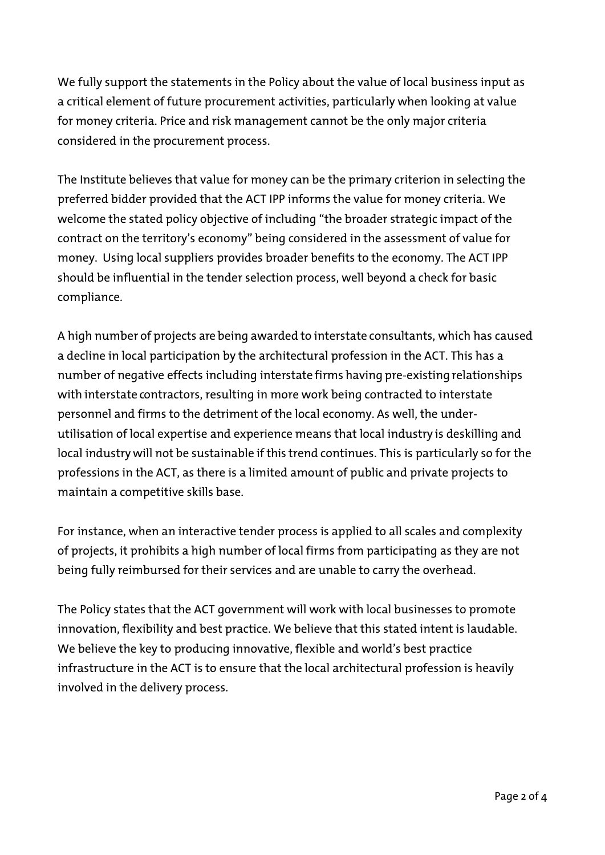We fully support the statements in the Policy about the value of local business input as a critical element of future procurement activities, particularly when looking at value for money criteria. Price and risk management cannot be the only major criteria considered in the procurement process.

The Institute believes that value for money can be the primary criterion in selecting the preferred bidder provided that the ACT IPP informs the value for money criteria. We welcome the stated policy objective of including "the broader strategic impact of the contract on the territory's economy" being considered in the assessment of value for money. Using local suppliers provides broader benefits to the economy. The ACT IPP should be influential in the tender selection process, well beyond a check for basic compliance.

A high number of projects are being awarded to interstate consultants, which has caused a decline in local participation by the architectural profession in the ACT. This has a number of negative effects including interstate firms having pre-existing relationships with interstate contractors, resulting in more work being contracted to interstate personnel and firms to the detriment of the local economy. As well, the underutilisation of local expertise and experience means that local industry is deskilling and local industry will not be sustainable if this trend continues. This is particularly so for the professions in the ACT, as there is a limited amount of public and private projects to maintain a competitive skills base.

For instance, when an interactive tender process is applied to all scales and complexity of projects, it prohibits a high number of local firms from participating as they are not being fully reimbursed for their services and are unable to carry the overhead.

The Policy states that the ACT government will work with local businesses to promote innovation, flexibility and best practice. We believe that this stated intent is laudable. We believe the key to producing innovative, flexible and world's best practice infrastructure in the ACT is to ensure that the local architectural profession is heavily involved in the delivery process.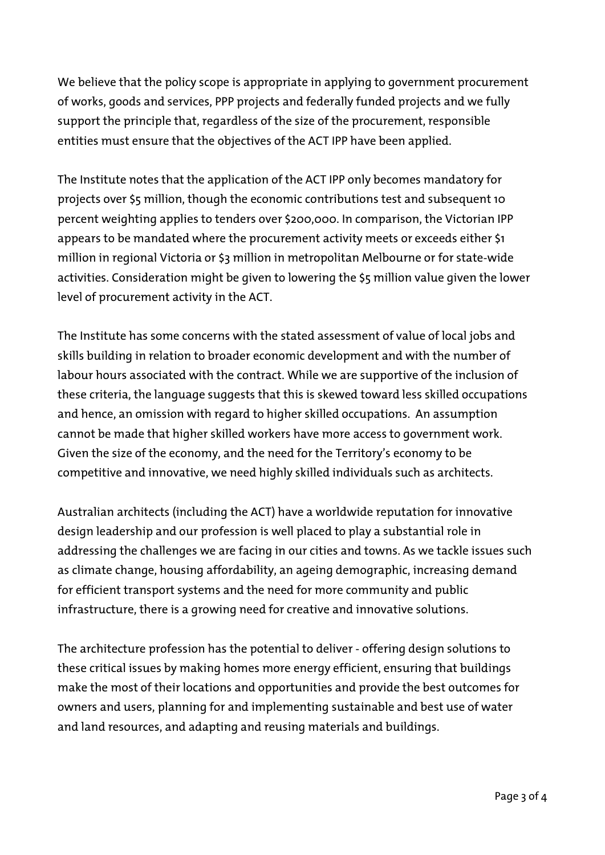We believe that the policy scope is appropriate in applying to government procurement of works, goods and services, PPP projects and federally funded projects and we fully support the principle that, regardless of the size of the procurement, responsible entities must ensure that the objectives of the ACT IPP have been applied.

The Institute notes that the application of the ACT IPP only becomes mandatory for projects over \$5 million, though the economic contributions test and subsequent 10 percent weighting applies to tenders over \$200,000. In comparison, the Victorian IPP appears to be mandated where the procurement activity meets or exceeds either \$1 million in regional Victoria or \$3 million in metropolitan Melbourne or for state-wide activities. Consideration might be given to lowering the \$5 million value given the lower level of procurement activity in the ACT.

The Institute has some concerns with the stated assessment of value of local jobs and skills building in relation to broader economic development and with the number of labour hours associated with the contract. While we are supportive of the inclusion of these criteria, the language suggests that this is skewed toward less skilled occupations and hence, an omission with regard to higher skilled occupations. An assumption cannot be made that higher skilled workers have more access to government work. Given the size of the economy, and the need for the Territory's economy to be competitive and innovative, we need highly skilled individuals such as architects.

Australian architects (including the ACT) have a worldwide reputation for innovative design leadership and our profession is well placed to play a substantial role in addressing the challenges we are facing in our cities and towns. As we tackle issues such as climate change, housing affordability, an ageing demographic, increasing demand for efficient transport systems and the need for more community and public infrastructure, there is a growing need for creative and innovative solutions.

The architecture profession has the potential to deliver - offering design solutions to these critical issues by making homes more energy efficient, ensuring that buildings make the most of their locations and opportunities and provide the best outcomes for owners and users, planning for and implementing sustainable and best use of water and land resources, and adapting and reusing materials and buildings.